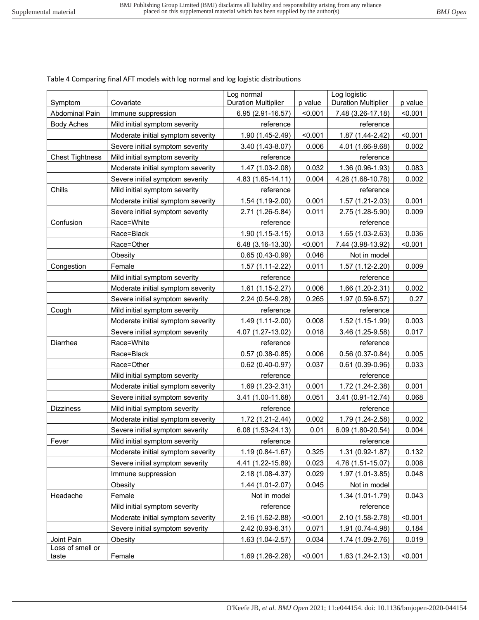| Table 4 Comparing final AFT models with log normal and log logistic distributions |  |  |
|-----------------------------------------------------------------------------------|--|--|
|                                                                                   |  |  |

| Symptom                   | Log normal<br><b>Duration Multiplier</b><br>Covariate |                   | p value | Log logistic<br><b>Duration Multiplier</b> | p value |
|---------------------------|-------------------------------------------------------|-------------------|---------|--------------------------------------------|---------|
| Abdominal Pain            | Immune suppression                                    | 6.95 (2.91-16.57) | < 0.001 | 7.48 (3.26-17.18)                          | < 0.001 |
| <b>Body Aches</b>         | Mild initial symptom severity                         | reference         |         | reference                                  |         |
|                           | Moderate initial symptom severity                     | 1.90 (1.45-2.49)  | < 0.001 | 1.87 (1.44-2.42)                           | < 0.001 |
|                           | Severe initial symptom severity                       | 3.40 (1.43-8.07)  | 0.006   | 4.01 (1.66-9.68)                           | 0.002   |
| <b>Chest Tightness</b>    | Mild initial symptom severity                         | reference         |         | reference                                  |         |
|                           | Moderate initial symptom severity                     | 1.47 (1.03-2.08)  | 0.032   | 1.36 (0.96-1.93)                           | 0.083   |
|                           | Severe initial symptom severity                       | 4.83 (1.65-14.11) | 0.004   | 4.26 (1.68-10.78)                          | 0.002   |
| Chills                    | Mild initial symptom severity                         | reference         |         | reference                                  |         |
|                           | Moderate initial symptom severity                     | 1.54 (1.19-2.00)  | 0.001   | 1.57 (1.21-2.03)                           | 0.001   |
|                           | Severe initial symptom severity                       | 2.71 (1.26-5.84)  | 0.011   | 2.75 (1.28-5.90)                           | 0.009   |
| Confusion                 | Race=White                                            | reference         |         | reference                                  |         |
|                           | Race=Black                                            | 1.90 (1.15-3.15)  | 0.013   | 1.65 (1.03-2.63)                           | 0.036   |
|                           | Race=Other                                            | 6.48 (3.16-13.30) | < 0.001 | 7.44 (3.98-13.92)                          | < 0.001 |
|                           | Obesity                                               | $0.65(0.43-0.99)$ | 0.046   | Not in model                               |         |
| Congestion                | Female                                                | $1.57(1.11-2.22)$ | 0.011   | 1.57 (1.12-2.20)                           | 0.009   |
|                           | Mild initial symptom severity                         | reference         |         | reference                                  |         |
|                           | Moderate initial symptom severity                     | $1.61(1.15-2.27)$ | 0.006   | 1.66 (1.20-2.31)                           | 0.002   |
|                           | Severe initial symptom severity                       | 2.24 (0.54-9.28)  | 0.265   | 1.97 (0.59-6.57)                           | 0.27    |
| Cough                     | Mild initial symptom severity                         | reference         |         | reference                                  |         |
|                           | Moderate initial symptom severity                     | 1.49 (1.11-2.00)  | 0.008   | 1.52 (1.15-1.99)                           | 0.003   |
|                           | Severe initial symptom severity                       | 4.07 (1.27-13.02) | 0.018   | 3.46 (1.25-9.58)                           | 0.017   |
| Diarrhea                  | Race=White                                            | reference         |         | reference                                  |         |
|                           | Race=Black                                            | $0.57(0.38-0.85)$ | 0.006   | $0.56(0.37-0.84)$                          | 0.005   |
|                           | Race=Other                                            | $0.62(0.40-0.97)$ | 0.037   | $0.61(0.39-0.96)$                          | 0.033   |
|                           | Mild initial symptom severity                         | reference         |         | reference                                  |         |
|                           | Moderate initial symptom severity                     | 1.69 (1.23-2.31)  | 0.001   | 1.72 (1.24-2.38)                           | 0.001   |
|                           | Severe initial symptom severity                       | 3.41 (1.00-11.68) | 0.051   | 3.41 (0.91-12.74)                          | 0.068   |
| <b>Dizziness</b>          | Mild initial symptom severity                         | reference         |         | reference                                  |         |
|                           | Moderate initial symptom severity                     | 1.72 (1.21-2.44)  | 0.002   | 1.79 (1.24-2.58)                           | 0.002   |
|                           | Severe initial symptom severity                       | 6.08 (1.53-24.13) | 0.01    | 6.09 (1.80-20.54)                          | 0.004   |
| Fever                     | Mild initial symptom severity                         | reference         |         | reference                                  |         |
|                           | Moderate initial symptom severity                     | 1.19 (0.84-1.67)  | 0.325   | 1.31 (0.92-1.87)                           | 0.132   |
|                           | Severe initial symptom severity                       | 4.41 (1.22-15.89) | 0.023   | 4.76 (1.51-15.07)                          | 0.008   |
|                           | Immune suppression                                    | 2.18 (1.08-4.37)  | 0.029   | 1.97 (1.01-3.85)                           | 0.048   |
|                           | Obesity                                               | 1.44 (1.01-2.07)  | 0.045   | Not in model                               |         |
| Headache                  | Female                                                | Not in model      |         | 1.34 (1.01-1.79)                           | 0.043   |
|                           | Mild initial symptom severity                         | reference         |         | reference                                  |         |
|                           | Moderate initial symptom severity                     | 2.16 (1.62-2.88)  | < 0.001 | 2.10 (1.58-2.78)                           | < 0.001 |
|                           | Severe initial symptom severity                       | 2.42 (0.93-6.31)  | 0.071   | 1.91 (0.74-4.98)                           | 0.184   |
| Joint Pain                | Obesity                                               | 1.63 (1.04-2.57)  | 0.034   | 1.74 (1.09-2.76)                           | 0.019   |
| Loss of smell or<br>taste | Female                                                | 1.69 (1.26-2.26)  | < 0.001 | 1.63 (1.24-2.13)                           | < 0.001 |